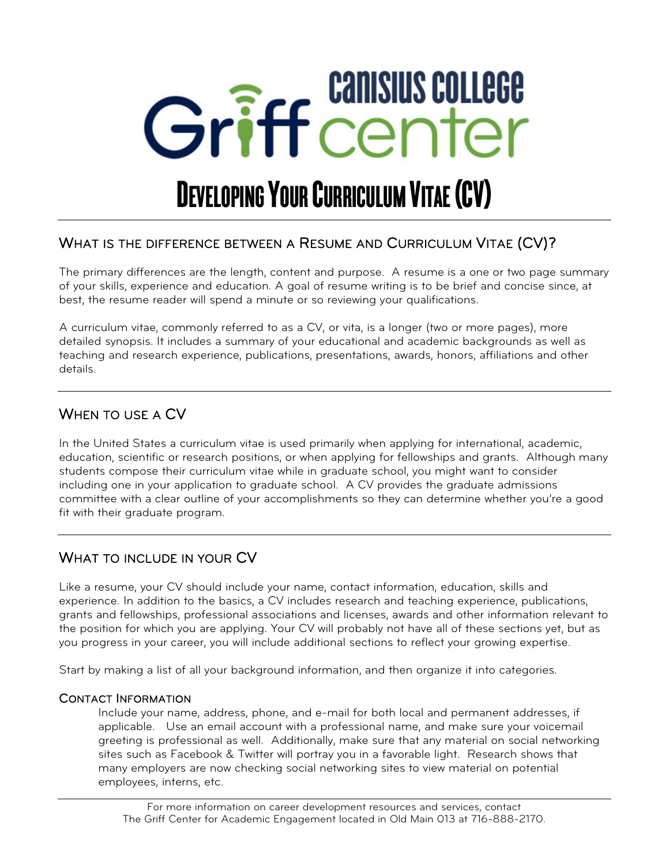

# WHAT IS THE DIFFERENCE BETWEEN A RESUME AND CURRICULUM VITAE (CV)?

The primary differences are the length, content and purpose. A resume is a one or two page summary of your skills, experience and education. A goal of resume writing is to be brief and concise since, at best, the resume reader will spend a minute or so reviewing your qualifications.

A curriculum vitae, commonly referred to as a CV, or vita, is a longer (two or more pages), more detailed synopsis. It includes a summary of your educational and academic backgrounds as well as teaching and research experience, publications, presentations, awards, honors, affiliations and other details.

# WHEN TO USE A CV

In the United States a curriculum vitae is used primarily when applying for international, academic, education, scientific or research positions, or when applying for fellowships and grants. Although many students compose their curriculum vitae while in graduate school, you might want to consider including one in your application to graduate school. A CV provides the graduate admissions committee with a clear outline of your accomplishments so they can determine whether you're a good fit with their graduate program.

# WHAT TO INCLUDE IN YOUR CV

Like a resume, your CV should include your name, contact information, education, skills and experience. In addition to the basics, a CV includes research and teaching experience, publications, grants and fellowships, professional associations and licenses, awards and other information relevant to the position for which you are applying. Your CV will probably not have all of these sections yet, but as you progress in your career, you will include additional sections to reflect your growing expertise.

Start by making a list of all your background information, and then organize it into categories.

# CONTACT INFORMATION

Include your name, address, phone, and e-mail for both local and permanent addresses, if applicable. Use an email account with a professional name, and make sure your voicemail greeting is professional as well. Additionally, make sure that any material on social networking sites such as Facebook & Twitter will portray you in a favorable light. Research shows that many employers are now checking social networking sites to view material on potential employees, interns, etc.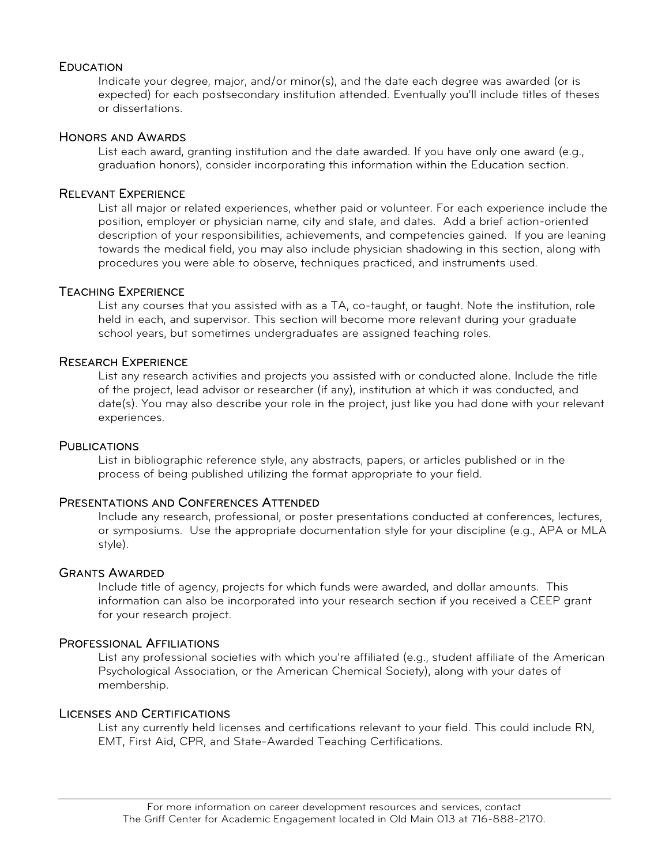# **EDUCATION**

Indicate your degree, major, and/or minor(s), and the date each degree was awarded (or is expected) for each postsecondary institution attended. Eventually you'll include titles of theses or dissertations.

## HONORS AND AWARDS

List each award, granting institution and the date awarded. If you have only one award (e.g., graduation honors), consider incorporating this information within the Education section.

## RELEVANT EXPERIENCE

List all major or related experiences, whether paid or volunteer. For each experience include the position, employer or physician name, city and state, and dates. Add a brief action-oriented description of your responsibilities, achievements, and competencies gained. If you are leaning towards the medical field, you may also include physician shadowing in this section, along with procedures you were able to observe, techniques practiced, and instruments used.

## TEACHING EXPERIENCE

List any courses that you assisted with as a TA, co-taught, or taught. Note the institution, role held in each, and supervisor. This section will become more relevant during your graduate school years, but sometimes undergraduates are assigned teaching roles.

## RESEARCH EXPERIENCE

List any research activities and projects you assisted with or conducted alone. Include the title of the project, lead advisor or researcher (if any), institution at which it was conducted, and date(s). You may also describe your role in the project, just like you had done with your relevant experiences.

## **PUBLICATIONS**

List in bibliographic reference style, any abstracts, papers, or articles published or in the process of being published utilizing the format appropriate to your field.

## PRESENTATIONS AND CONFERENCES ATTENDED

Include any research, professional, or poster presentations conducted at conferences, lectures, or symposiums. Use the appropriate documentation style for your discipline (e.g., APA or MLA style).

## GRANTS AWARDED

Include title of agency, projects for which funds were awarded, and dollar amounts. This information can also be incorporated into your research section if you received a CEEP grant for your research project.

# PROFESSIONAL AFFILIATIONS

List any professional societies with which you're affiliated (e.g., student affiliate of the American Psychological Association, or the American Chemical Society), along with your dates of membership.

# LICENSES AND CERTIFICATIONS

List any currently held licenses and certifications relevant to your field. This could include RN, EMT, First Aid, CPR, and State-Awarded Teaching Certifications.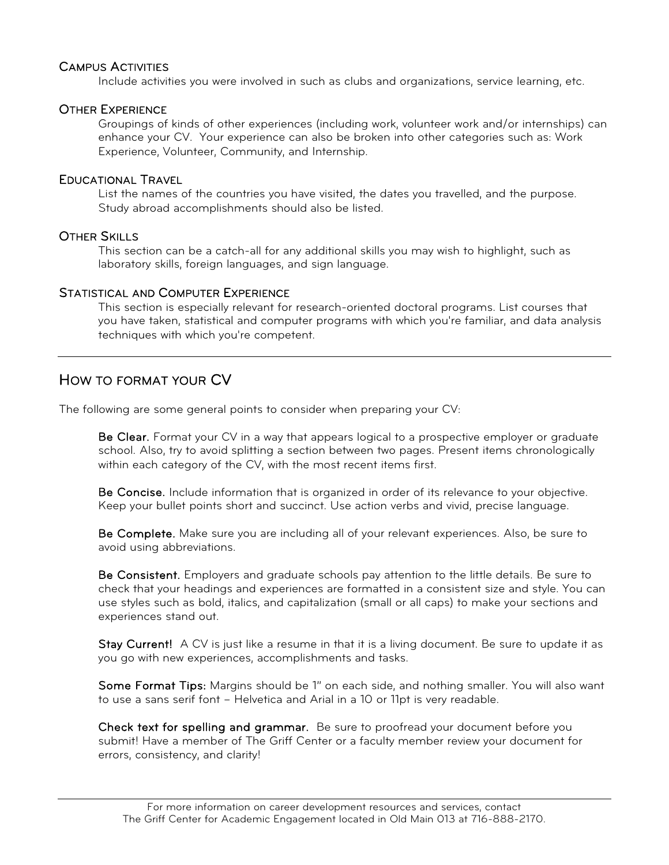# CAMPUS ACTIVITIES

Include activities you were involved in such as clubs and organizations, service learning, etc.

## OTHER EXPERIENCE

Groupings of kinds of other experiences (including work, volunteer work and/or internships) can enhance your CV. Your experience can also be broken into other categories such as: Work Experience, Volunteer, Community, and Internship.

## EDUCATIONAL TRAVEL

List the names of the countries you have visited, the dates you travelled, and the purpose. Study abroad accomplishments should also be listed.

# OTHER SKILLS

This section can be a catch-all for any additional skills you may wish to highlight, such as laboratory skills, foreign languages, and sign language.

## STATISTICAL AND COMPUTER EXPERIENCE

This section is especially relevant for research-oriented doctoral programs. List courses that you have taken, statistical and computer programs with which you're familiar, and data analysis techniques with which you're competent.

# HOW TO FORMAT YOUR CV

The following are some general points to consider when preparing your CV:

Be Clear. Format your CV in a way that appears logical to a prospective employer or graduate school. Also, try to avoid splitting a section between two pages. Present items chronologically within each category of the CV, with the most recent items first.

Be Concise. Include information that is organized in order of its relevance to your objective. Keep your bullet points short and succinct. Use action verbs and vivid, precise language.

Be Complete. Make sure you are including all of your relevant experiences. Also, be sure to avoid using abbreviations.

Be Consistent. Employers and graduate schools pay attention to the little details. Be sure to check that your headings and experiences are formatted in a consistent size and style. You can use styles such as bold, italics, and capitalization (small or all caps) to make your sections and experiences stand out.

Stay Current! A CV is just like a resume in that it is a living document. Be sure to update it as you go with new experiences, accomplishments and tasks.

Some Format Tips: Margins should be 1" on each side, and nothing smaller. You will also want to use a sans serif font – Helvetica and Arial in a 10 or 11pt is very readable.

Check text for spelling and grammar. Be sure to proofread your document before you submit! Have a member of The Griff Center or a faculty member review your document for errors, consistency, and clarity!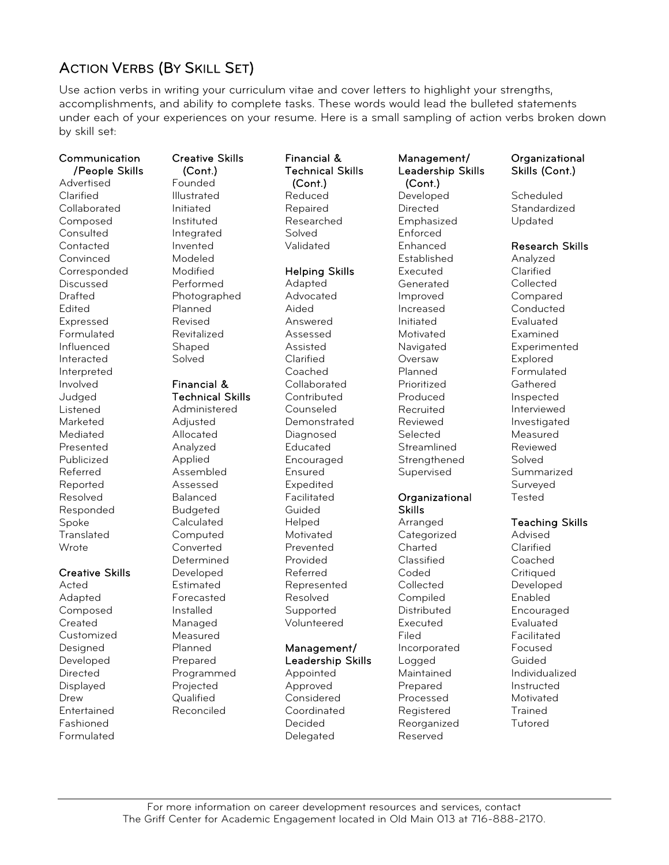# ACTION VERBS (BY SKILL SET)

Use action verbs in writing your curriculum vitae and cover letters to highlight your strengths, accomplishments, and ability to complete tasks. These words would lead the bulleted statements under each of your experiences on your resume. Here is a small sampling of action verbs broken down by skill set:

#### Communication /People Skills

Advertised Clarified Collaborated Composed **Consulted Contacted** Convinced Corresponded Discussed **Drafted** Edited Expressed Formulated Influenced Interacted Interpreted Involved Judged Listened Marketed Mediated Presented Publicized Referred Reported Resolved Responded Spoke **Translated** Wrote

## Creative Skills

Acted Adapted Composed Created Customized Designed Developed Directed **Displayed** Drew **Entertained** Fashioned Formulated

## Founded Illustrated Initiated Instituted Integrated Invented Modeled Modified Performed Photographed Planned Revised **Revitalized** Shaped Solved Financial & Technical Skills Administered Adjusted Allocated Analyzed Applied Assembled Assessed Balanced Budgeted Calculated Computed

Creative Skills (Cont.)

**Converted Determined** Developed **Estimated** Forecasted Installed Managed Measured Planned Prepared Programmed Projected **Qualified** Reconciled

#### Financial & Technical Skills (Cont.) Reduced

Repaired Researched Solved Validated

### Helping Skills

Adapted **Advocated** Aided Answered Assessed Assisted Clarified Coached Collaborated **Contributed** Counseled **Demonstrated** Diagnosed **Educated** Encouraged Ensured Expedited Facilitated Guided Helped Motivated Prevented Provided Referred Represented Resolved **Supported** Volunteered

#### Management/ Leadership Skills

Appointed Approved Considered **Coordinated** Decided Delegated

#### Management/ Leadership Skills (Cont.) Developed Directed

Emphasized Enforced Enhanced **Established** Executed Generated Improved Increased Initiated **Motivated Navigated** Oversaw Planned Prioritized Produced **Recruited** Reviewed **Selected Streamlined Strengthened** Supervised

#### Organizational **Skills**

Arranged **Categorized Charted** Classified Coded **Collected** Compiled Distributed Executed Filed Incorporated Logged **Maintained** Prepared Processed **Registered** Reorganized Reserved

## Organizational Skills (Cont.)

Scheduled **Standardized** Updated

## Research Skills

Analyzed Clarified Collected Compared Conducted Evaluated Examined Experimented Explored Formulated Gathered Inspected Interviewed Investigated Measured Reviewed Solved Summarized Surveyed Tested

## Teaching Skills

Advised Clarified Coached **Critiqued** Developed Enabled Encouraged Evaluated Facilitated Focused Guided Individualized Instructed **Motivated** Trained Tutored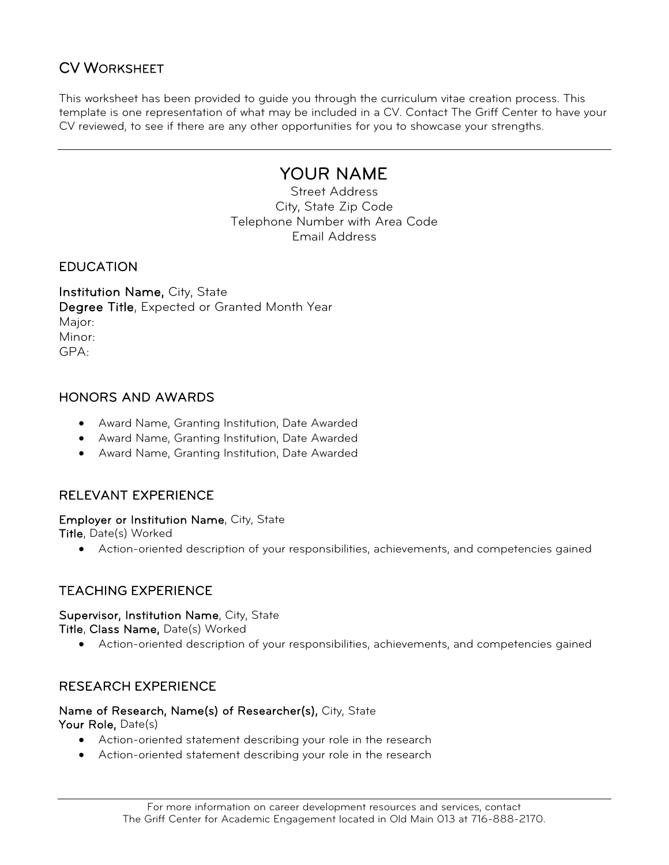# CV WORKSHEET

This worksheet has been provided to guide you through the curriculum vitae creation process. This template is one representation of what may be included in a CV. Contact The Griff Center to have your CV reviewed, to see if there are any other opportunities for you to showcase your strengths.

# YOUR NAME<br>Street Address

City, State Zip Code Telephone Number with Area Code Email Address

EDUCATION

Institution Name, City, State Degree Title, Expected or Granted Month Year Major: Minor: GPA:

# HONORS AND AWARDS

- Award Name, Granting Institution, Date Awarded
- Award Name, Granting Institution, Date Awarded
- Award Name, Granting Institution, Date Awarded

# RELEVANT EXPERIENCE

# Employer or Institution Name, City, State

Title, Date(s) Worked

• Action-oriented description of your responsibilities, achievements, and competencies gained

# TEACHING EXPERIENCE

# Supervisor, Institution Name, City, State

Title, Class Name, Date(s) Worked

• Action-oriented description of your responsibilities, achievements, and competencies gained

# RESEARCH EXPERIENCE

# Name of Research, Name(s) of Researcher(s), City, State

Your Role, Date(s)

- Action-oriented statement describing your role in the research
- Action-oriented statement describing your role in the research